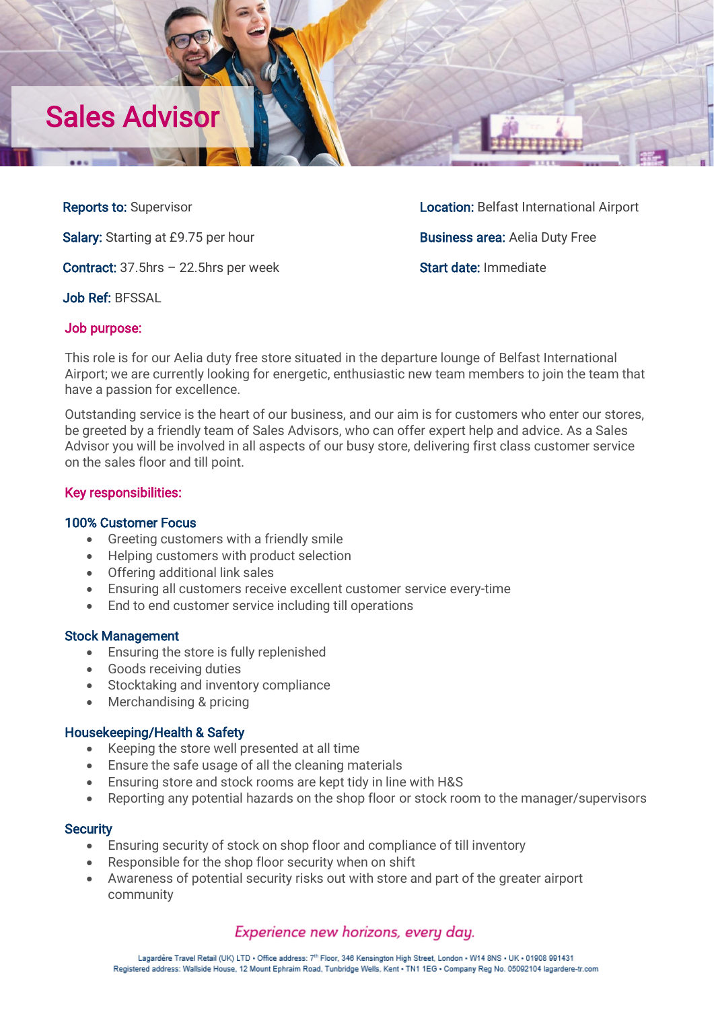

Salary: Starting at £9.75 per hour Business area: Aelia Duty Free

Contract: 37.5hrs - 22.5hrs per week Start date: Immediate

Job Ref: BFSSAL

Reports to: Supervisor Location: Belfast International Airport

# Job purpose:

This role is for our Aelia duty free store situated in the departure lounge of Belfast International Airport; we are currently looking for energetic, enthusiastic new team members to join the team that have a passion for excellence.

Outstanding service is the heart of our business, and our aim is for customers who enter our stores, be greeted by a friendly team of Sales Advisors, who can offer expert help and advice. As a Sales Advisor you will be involved in all aspects of our busy store, delivering first class customer service on the sales floor and till point.

# Key responsibilities:

## 100% Customer Focus

- Greeting customers with a friendly smile
- Helping customers with product selection
- Offering additional link sales
- Ensuring all customers receive excellent customer service every-time
- End to end customer service including till operations

## Stock Management

- Ensuring the store is fully replenished
- Goods receiving duties
- Stocktaking and inventory compliance
- Merchandising & pricing

# Housekeeping/Health & Safety

- Keeping the store well presented at all time
- Ensure the safe usage of all the cleaning materials
- Ensuring store and stock rooms are kept tidy in line with H&S
- Reporting any potential hazards on the shop floor or stock room to the manager/supervisors

## **Security**

- Ensuring security of stock on shop floor and compliance of till inventory
- Responsible for the shop floor security when on shift
- Awareness of potential security risks out with store and part of the greater airport community

# Experience new horizons, every day.